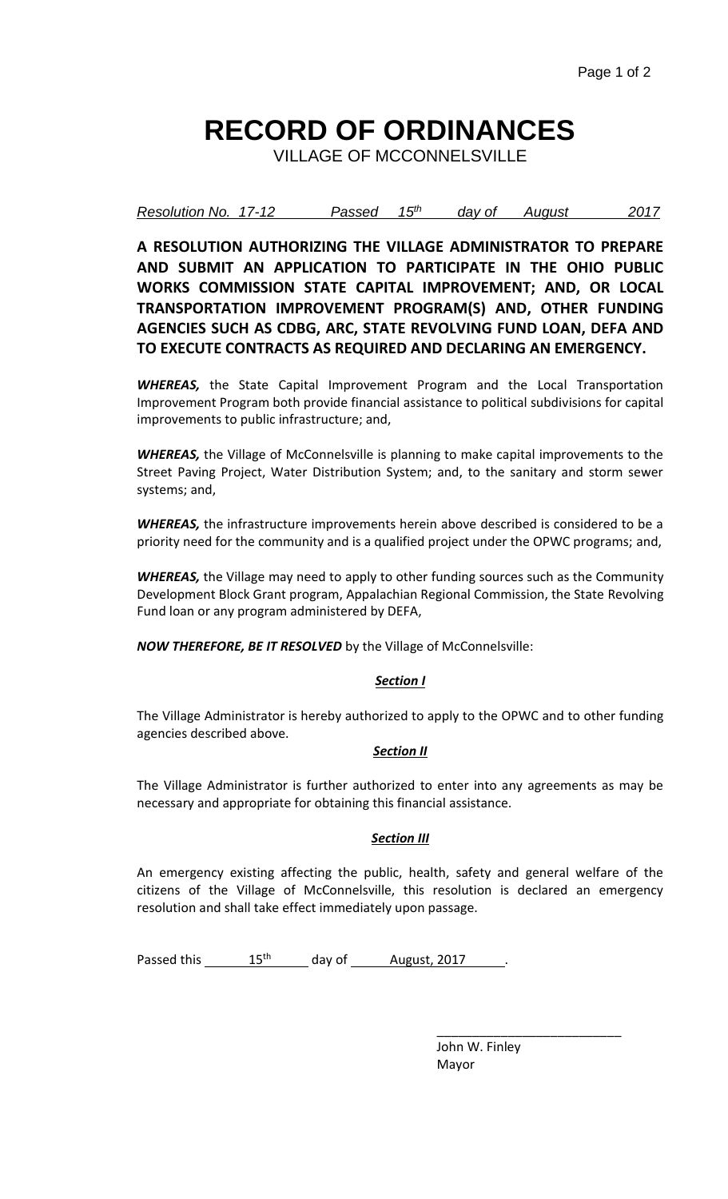## **RECORD OF ORDINANCES**

VILLAGE OF MCCONNELSVILLE

*Resolution No. 17-12 Passed 15th day of August 2017*

**A RESOLUTION AUTHORIZING THE VILLAGE ADMINISTRATOR TO PREPARE AND SUBMIT AN APPLICATION TO PARTICIPATE IN THE OHIO PUBLIC WORKS COMMISSION STATE CAPITAL IMPROVEMENT; AND, OR LOCAL TRANSPORTATION IMPROVEMENT PROGRAM(S) AND, OTHER FUNDING AGENCIES SUCH AS CDBG, ARC, STATE REVOLVING FUND LOAN, DEFA AND TO EXECUTE CONTRACTS AS REQUIRED AND DECLARING AN EMERGENCY.**

*WHEREAS,* the State Capital Improvement Program and the Local Transportation Improvement Program both provide financial assistance to political subdivisions for capital improvements to public infrastructure; and,

*WHEREAS,* the Village of McConnelsville is planning to make capital improvements to the Street Paving Project, Water Distribution System; and, to the sanitary and storm sewer systems; and,

*WHEREAS,* the infrastructure improvements herein above described is considered to be a priority need for the community and is a qualified project under the OPWC programs; and,

*WHEREAS,* the Village may need to apply to other funding sources such as the Community Development Block Grant program, Appalachian Regional Commission, the State Revolving Fund loan or any program administered by DEFA,

*NOW THEREFORE, BE IT RESOLVED* by the Village of McConnelsville:

### *Section I*

The Village Administrator is hereby authorized to apply to the OPWC and to other funding agencies described above.

### *Section II*

The Village Administrator is further authorized to enter into any agreements as may be necessary and appropriate for obtaining this financial assistance.

### *Section III*

An emergency existing affecting the public, health, safety and general welfare of the citizens of the Village of McConnelsville, this resolution is declared an emergency resolution and shall take effect immediately upon passage.

Passed this  $\frac{15^{th}}{2}$  day of  $\frac{\text{August, 2017}}{2}$ .

John W. Finley Mayor

\_\_\_\_\_\_\_\_\_\_\_\_\_\_\_\_\_\_\_\_\_\_\_\_\_\_